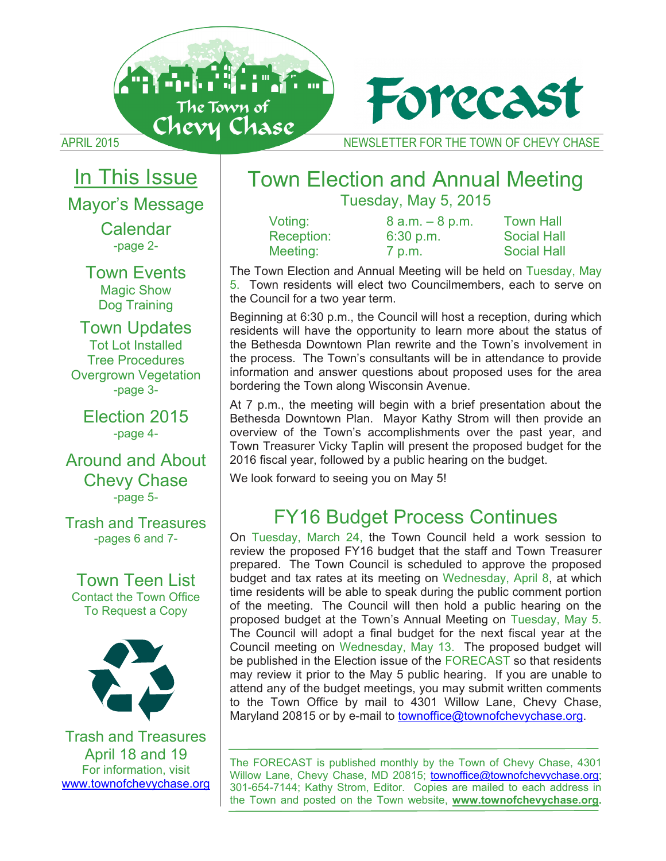



# In This Issue

Mayor's Message

Calendar -page 2-

Town Events Magic Show Dog Training

Town Updates Tot Lot Installed Tree Procedures Overgrown Vegetation -page 3-

Election 2015 -page 4-

Around and About Chevy Chase -page 5-

Trash and Treasures -pages 6 and 7-

Town Teen List Contact the Town Office To Request a Copy



Trash and Treasures April 18 and 19 For information, visit www.townofchevychase.org

## Town Election and Annual Meeting Tuesday, May 5, 2015

Voting: 8 a.m. – 8 p.m. Town Hall Reception: 6:30 p.m. Social Hall Meeting: 7 p.m. Social Hall

The Town Election and Annual Meeting will be held on Tuesday, May 5. Town residents will elect two Councilmembers, each to serve on the Council for a two year term.

Beginning at 6:30 p.m., the Council will host a reception, during which residents will have the opportunity to learn more about the status of the Bethesda Downtown Plan rewrite and the Town's involvement in the process. The Town's consultants will be in attendance to provide information and answer questions about proposed uses for the area bordering the Town along Wisconsin Avenue.

At 7 p.m., the meeting will begin with a brief presentation about the Bethesda Downtown Plan. Mayor Kathy Strom will then provide an overview of the Town's accomplishments over the past year, and Town Treasurer Vicky Taplin will present the proposed budget for the 2016 fiscal year, followed by a public hearing on the budget.

We look forward to seeing you on May 5!

## FY16 Budget Process Continues

On Tuesday, March 24, the Town Council held a work session to review the proposed FY16 budget that the staff and Town Treasurer prepared. The Town Council is scheduled to approve the proposed budget and tax rates at its meeting on Wednesday, April 8, at which time residents will be able to speak during the public comment portion of the meeting. The Council will then hold a public hearing on the proposed budget at the Town's Annual Meeting on Tuesday, May 5. The Council will adopt a final budget for the next fiscal year at the Council meeting on Wednesday, May 13. The proposed budget will be published in the Election issue of the FORECAST so that residents may review it prior to the May 5 public hearing. If you are unable to attend any of the budget meetings, you may submit written comments to the Town Office by mail to 4301 Willow Lane, Chevy Chase, Maryland 20815 or by e-mail to townoffice@townofchevychase.org.

The FORECAST is published monthly by the Town of Chevy Chase, 4301 Willow Lane, Chevy Chase, MD 20815; townoffice@townofchevychase.org; 301-654-7144; Kathy Strom, Editor. Copies are mailed to each address in the Town and posted on the Town website, **www.townofchevychase.org.**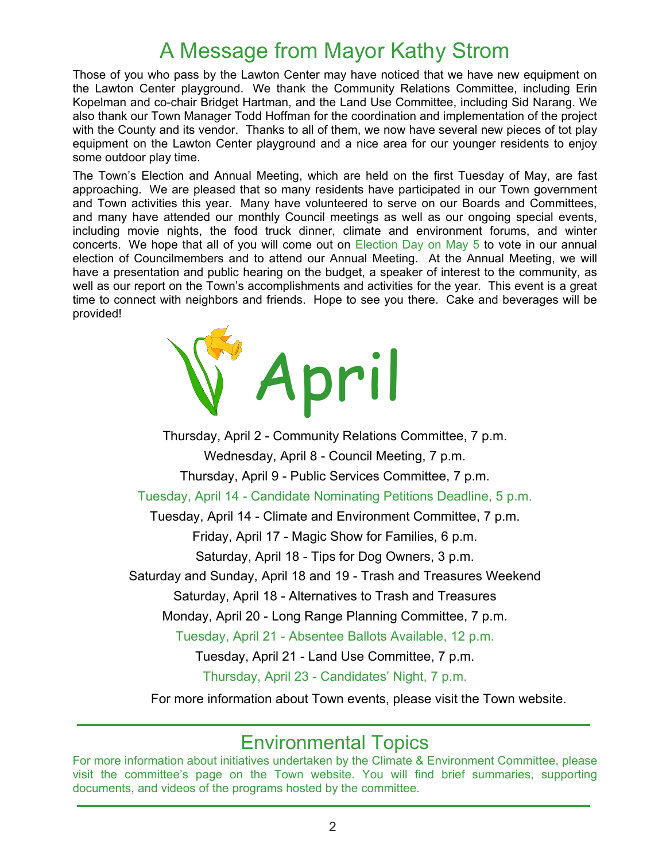## A Message from Mayor Kathy Strom

Those of you who pass by the Lawton Center may have noticed that we have new equipment on the Lawton Center playground. We thank the Community Relations Committee, including Erin Kopelman and co-chair Bridget Hartman, and the Land Use Committee, including Sid Narang. We also thank our Town Manager Todd Hoffman for the coordination and implementation of the project with the County and its vendor. Thanks to all of them, we now have several new pieces of tot play equipment on the Lawton Center playground and a nice area for our younger residents to enjoy some outdoor play time.

The Town's Election and Annual Meeting, which are held on the first Tuesday of May, are fast approaching. We are pleased that so many residents have participated in our Town government and Town activities this year. Many have volunteered to serve on our Boards and Committees, and many have attended our monthly Council meetings as well as our ongoing special events, including movie nights, the food truck dinner, climate and environment forums, and winter concerts. We hope that all of you will come out on Election Day on May 5 to vote in our annual election of Councilmembers and to attend our Annual Meeting. At the Annual Meeting, we will have a presentation and public hearing on the budget, a speaker of interest to the community, as well as our report on the Town's accomplishments and activities for the year. This event is a great time to connect with neighbors and friends. Hope to see you there. Cake and beverages will be provided!



Thursday, April 2 - Community Relations Committee, 7 p.m. Wednesday, April 8 - Council Meeting, 7 p.m. Thursday, April 9 - Public Services Committee, 7 p.m. Tuesday, April 14 - Candidate Nominating Petitions Deadline, 5 p.m. Tuesday, April 14 - Climate and Environment Committee, 7 p.m. Friday, April 17 - Magic Show for Families, 6 p.m. Saturday, April 18 - Tips for Dog Owners, 3 p.m. Saturday and Sunday, April 18 and 19 - Trash and Treasures Weekend Saturday, April 18 - Alternatives to Trash and Treasures Monday, April 20 - Long Range Planning Committee, 7 p.m. Tuesday, April 21 - Absentee Ballots Available, 12 p.m. Tuesday, April 21 - Land Use Committee, 7 p.m. Thursday, April 23 - Candidates' Night, 7 p.m. For more information about Town events, please visit the Town website.

## Environmental Topics

For more information about initiatives undertaken by the Climate & Environment Committee, please visit the committee's page on the Town website. You will find brief summaries, supporting documents, and videos of the programs hosted by the committee.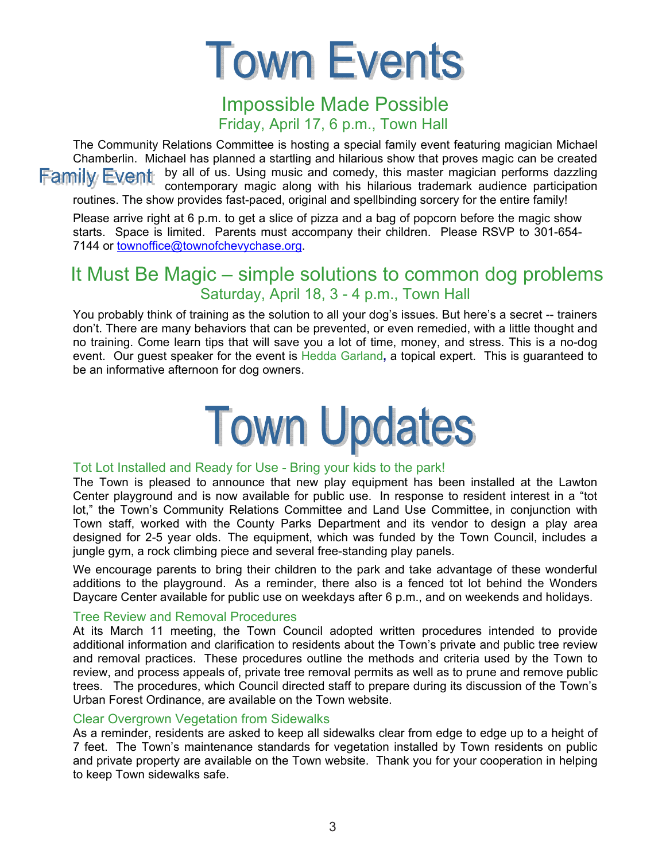

## Impossible Made Possible Friday, April 17, 6 p.m., Town Hall

The Community Relations Committee is hosting a special family event featuring magician Michael Chamberlin. Michael has planned a startling and hilarious show that proves magic can be created **Family Event** by all of us. Using music and comedy, this master magician performs dazzling contemporary magic along with his hilarious trademark audience participation routines. The show provides fast-paced, original and spellbinding sorcery for the entire family!

Please arrive right at 6 p.m. to get a slice of pizza and a bag of popcorn before the magic show starts. Space is limited. Parents must accompany their children. Please RSVP to 301-654- 7144 or townoffice@townofchevychase.org.

## It Must Be Magic – simple solutions to common dog problems Saturday, April 18, 3 - 4 p.m., Town Hall

You probably think of training as the solution to all your dog's issues. But here's a secret -- trainers don't. There are many behaviors that can be prevented, or even remedied, with a little thought and no training. Come learn tips that will save you a lot of time, money, and stress. This is a no-dog event. Our guest speaker for the event is Hedda Garland**,** a topical expert. This is guaranteed to be an informative afternoon for dog owners.



#### Tot Lot Installed and Ready for Use - Bring your kids to the park!

The Town is pleased to announce that new play equipment has been installed at the Lawton Center playground and is now available for public use. In response to resident interest in a "tot lot," the Town's Community Relations Committee and Land Use Committee, in conjunction with Town staff, worked with the County Parks Department and its vendor to design a play area designed for 2-5 year olds. The equipment, which was funded by the Town Council, includes a jungle gym, a rock climbing piece and several free-standing play panels.

We encourage parents to bring their children to the park and take advantage of these wonderful additions to the playground. As a reminder, there also is a fenced tot lot behind the Wonders Daycare Center available for public use on weekdays after 6 p.m., and on weekends and holidays.

#### Tree Review and Removal Procedures

At its March 11 meeting, the Town Council adopted written procedures intended to provide additional information and clarification to residents about the Town's private and public tree review and removal practices. These procedures outline the methods and criteria used by the Town to review, and process appeals of, private tree removal permits as well as to prune and remove public trees. The procedures, which Council directed staff to prepare during its discussion of the Town's Urban Forest Ordinance, are available on the Town website.

#### Clear Overgrown Vegetation from Sidewalks

As a reminder, residents are asked to keep all sidewalks clear from edge to edge up to a height of 7 feet. The Town's maintenance standards for vegetation installed by Town residents on public and private property are available on the Town website. Thank you for your cooperation in helping to keep Town sidewalks safe.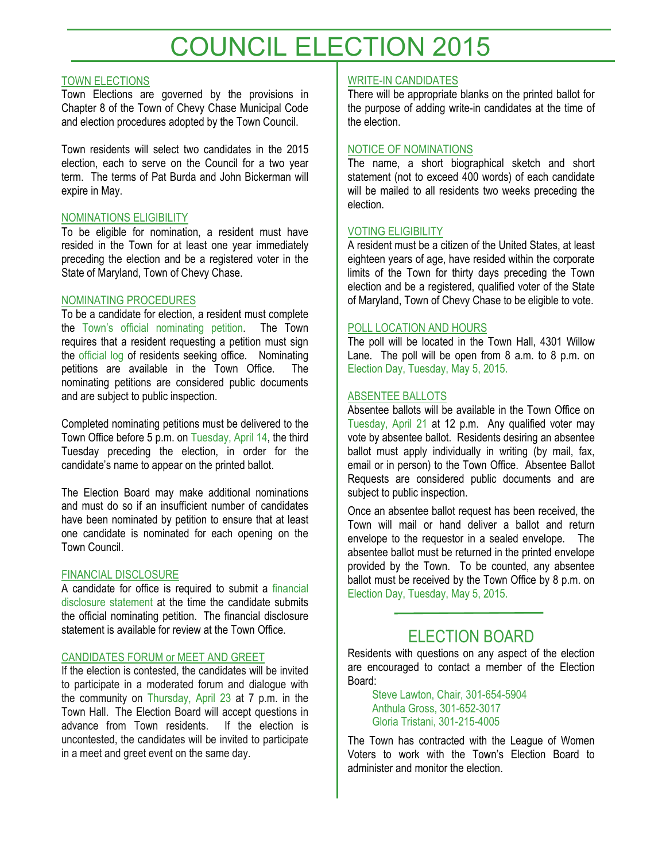# COUNCIL ELECTION 2015

#### TOWN ELECTIONS

Town Elections are governed by the provisions in Chapter 8 of the Town of Chevy Chase Municipal Code and election procedures adopted by the Town Council.

Town residents will select two candidates in the 2015 election, each to serve on the Council for a two year term. The terms of Pat Burda and John Bickerman will expire in May.

#### NOMINATIONS ELIGIBILITY

To be eligible for nomination, a resident must have resided in the Town for at least one year immediately preceding the election and be a registered voter in the State of Maryland, Town of Chevy Chase.

#### NOMINATING PROCEDURES

To be a candidate for election, a resident must complete the Town's official nominating petition. The Town requires that a resident requesting a petition must sign the official log of residents seeking office. Nominating petitions are available in the Town Office. The nominating petitions are considered public documents and are subject to public inspection.

Completed nominating petitions must be delivered to the Town Office before 5 p.m. on Tuesday, April 14, the third Tuesday preceding the election, in order for the candidate's name to appear on the printed ballot.

The Election Board may make additional nominations and must do so if an insufficient number of candidates have been nominated by petition to ensure that at least one candidate is nominated for each opening on the Town Council.

#### FINANCIAL DISCLOSURE

A candidate for office is required to submit a financial disclosure statement at the time the candidate submits the official nominating petition. The financial disclosure statement is available for review at the Town Office.

#### CANDIDATES FORUM or MEET AND GREET

If the election is contested, the candidates will be invited to participate in a moderated forum and dialogue with the community on Thursday, April 23 at 7 p.m. in the Town Hall. The Election Board will accept questions in advance from Town residents. If the election is uncontested, the candidates will be invited to participate in a meet and greet event on the same day.

### WRITE-IN CANDIDATES

There will be appropriate blanks on the printed ballot for the purpose of adding write-in candidates at the time of the election.

#### NOTICE OF NOMINATIONS

The name, a short biographical sketch and short statement (not to exceed 400 words) of each candidate will be mailed to all residents two weeks preceding the election.

#### VOTING ELIGIBILITY

A resident must be a citizen of the United States, at least eighteen years of age, have resided within the corporate limits of the Town for thirty days preceding the Town election and be a registered, qualified voter of the State of Maryland, Town of Chevy Chase to be eligible to vote.

#### POLL LOCATION AND HOURS

The poll will be located in the Town Hall, 4301 Willow Lane. The poll will be open from 8 a.m. to 8 p.m. on Election Day, Tuesday, May 5, 2015.

#### ABSENTEE BALLOTS

Absentee ballots will be available in the Town Office on Tuesday, April 21 at 12 p.m. Any qualified voter may vote by absentee ballot. Residents desiring an absentee ballot must apply individually in writing (by mail, fax, email or in person) to the Town Office. Absentee Ballot Requests are considered public documents and are subject to public inspection.

Once an absentee ballot request has been received, the Town will mail or hand deliver a ballot and return envelope to the requestor in a sealed envelope. The absentee ballot must be returned in the printed envelope provided by the Town. To be counted, any absentee ballot must be received by the Town Office by 8 p.m. on Election Day, Tuesday, May 5, 2015.

## ELECTION BOARD

Residents with questions on any aspect of the election are encouraged to contact a member of the Election Board:

Steve Lawton, Chair, 301-654-5904 Anthula Gross, 301-652-3017 Gloria Tristani, 301-215-4005

The Town has contracted with the League of Women Voters to work with the Town's Election Board to administer and monitor the election.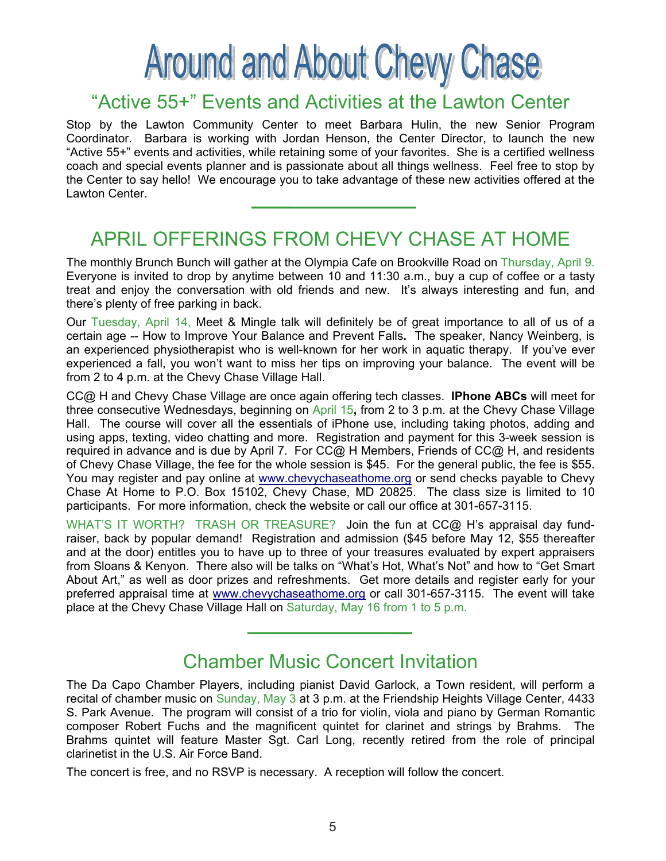# **Around and About Chevy Chase**

## "Active 55+" Events and Activities at the Lawton Center

Stop by the Lawton Community Center to meet Barbara Hulin, the new Senior Program Coordinator. Barbara is working with Jordan Henson, the Center Director, to launch the new "Active 55+" events and activities, while retaining some of your favorites. She is a certified wellness coach and special events planner and is passionate about all things wellness. Feel free to stop by the Center to say hello! We encourage you to take advantage of these new activities offered at the Lawton Center.

## APRIL OFFERINGS FROM CHEVY CHASE AT HOME

The monthly Brunch Bunch will gather at the Olympia Cafe on Brookville Road on Thursday, April 9. Everyone is invited to drop by anytime between 10 and 11:30 a.m., buy a cup of coffee or a tasty treat and enjoy the conversation with old friends and new. It's always interesting and fun, and there's plenty of free parking in back.

Our Tuesday, April 14, Meet & Mingle talk will definitely be of great importance to all of us of a certain age -- How to Improve Your Balance and Prevent Falls**.** The speaker, Nancy Weinberg, is an experienced physiotherapist who is well-known for her work in aquatic therapy. If you've ever experienced a fall, you won't want to miss her tips on improving your balance. The event will be from 2 to 4 p.m. at the Chevy Chase Village Hall.

CC@ H and Chevy Chase Village are once again offering tech classes. **IPhone ABCs** will meet for three consecutive Wednesdays, beginning on April 15**,** from 2 to 3 p.m. at the Chevy Chase Village Hall. The course will cover all the essentials of iPhone use, including taking photos, adding and using apps, texting, video chatting and more. Registration and payment for this 3-week session is required in advance and is due by April 7. For CC@ H Members, Friends of CC@ H, and residents of Chevy Chase Village, the fee for the whole session is \$45. For the general public, the fee is \$55. You may register and pay online at www.chevychaseathome.org or send checks payable to Chevy Chase At Home to P.O. Box 15102, Chevy Chase, MD 20825. The class size is limited to 10 participants. For more information, check the website or call our office at 301-657-3115.

WHAT'S IT WORTH? TRASH OR TREASURE? Join the fun at CC@ H's appraisal day fundraiser, back by popular demand! Registration and admission (\$45 before May 12, \$55 thereafter and at the door) entitles you to have up to three of your treasures evaluated by expert appraisers from Sloans & Kenyon. There also will be talks on "What's Hot, What's Not" and how to "Get Smart About Art," as well as door prizes and refreshments. Get more details and register early for your preferred appraisal time at www.chevychaseathome.org or call 301-657-3115. The event will take place at the Chevy Chase Village Hall on Saturday, May 16 from 1 to 5 p.m.

## Chamber Music Concert Invitation

The Da Capo Chamber Players, including pianist David Garlock, a Town resident, will perform a recital of chamber music on Sunday, May 3 at 3 p.m. at the Friendship Heights Village Center, 4433 S. Park Avenue. The program will consist of a trio for violin, viola and piano by German Romantic composer Robert Fuchs and the magnificent quintet for clarinet and strings by Brahms. The Brahms quintet will feature Master Sgt. Carl Long, recently retired from the role of principal clarinetist in the U.S. Air Force Band.

The concert is free, and no RSVP is necessary. A reception will follow the concert.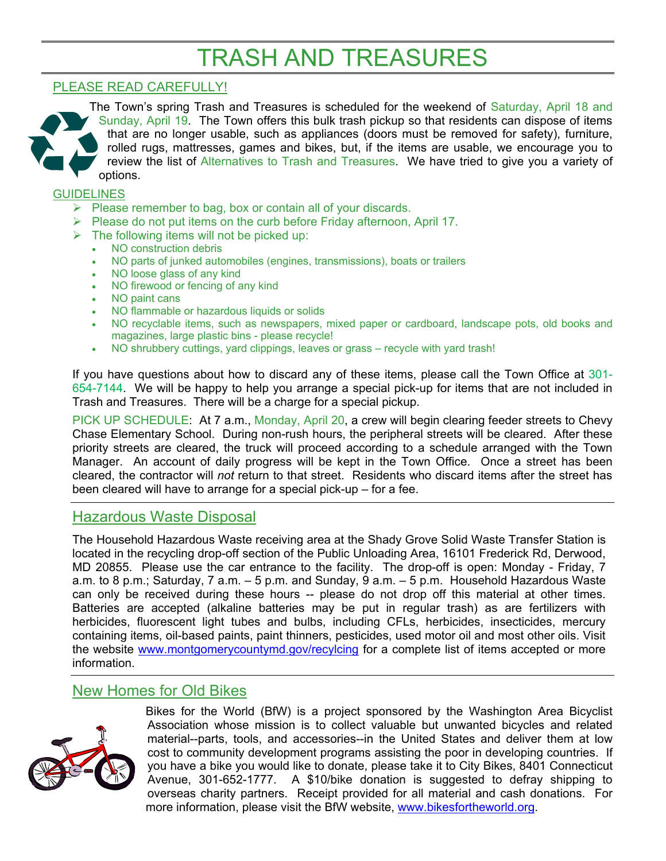## TRASH AND TREASURES

## PLEASE READ CAREFULLY!



The Town's spring Trash and Treasures is scheduled for the weekend of Saturday, April 18 and Sunday, April 19.The Town offers this bulk trash pickup so that residents can dispose of items that are no longer usable, such as appliances (doors must be removed for safety), furniture, rolled rugs, mattresses, games and bikes, but, if the items are usable, we encourage you to review the list of Alternatives to Trash and Treasures. We have tried to give you a variety of options.

### **GUIDELINES**

- $\triangleright$  Please remember to bag, box or contain all of your discards.
- $\triangleright$  Please do not put items on the curb before Friday afternoon, April 17.
- $\triangleright$  The following items will not be picked up:
	- NO construction debris
	- NO parts of junked automobiles (engines, transmissions), boats or trailers
	- NO loose glass of any kind
	- NO firewood or fencing of any kind
	- NO paint cans
	- NO flammable or hazardous liquids or solids
	- NO recyclable items, such as newspapers, mixed paper or cardboard, landscape pots, old books and magazines, large plastic bins - please recycle!
	- NO shrubbery cuttings, yard clippings, leaves or grass recycle with yard trash!

If you have questions about how to discard any of these items, please call the Town Office at 301- 654-7144. We will be happy to help you arrange a special pick-up for items that are not included in Trash and Treasures. There will be a charge for a special pickup.

PICK UP SCHEDULE: At 7 a.m., Monday, April 20, a crew will begin clearing feeder streets to Chevy Chase Elementary School. During non-rush hours, the peripheral streets will be cleared. After these priority streets are cleared, the truck will proceed according to a schedule arranged with the Town Manager. An account of daily progress will be kept in the Town Office. Once a street has been cleared, the contractor will *not* return to that street. Residents who discard items after the street has been cleared will have to arrange for a special pick-up – for a fee.

## Hazardous Waste Disposal

The Household Hazardous Waste receiving area at the Shady Grove Solid Waste Transfer Station is located in the recycling drop-off section of the Public Unloading Area, 16101 Frederick Rd, Derwood, MD 20855. Please use the car entrance to the facility. The drop-off is open: Monday - Friday, 7 a.m. to 8 p.m.; Saturday, 7 a.m. – 5 p.m. and Sunday, 9 a.m. – 5 p.m. Household Hazardous Waste can only be received during these hours -- please do not drop off this material at other times. Batteries are accepted (alkaline batteries may be put in regular trash) as are fertilizers with herbicides, fluorescent light tubes and bulbs, including CFLs, herbicides, insecticides, mercury containing items, oil-based paints, paint thinners, pesticides, used motor oil and most other oils. Visit the website www.montgomerycountymd.gov/recylcing for a complete list of items accepted or more information.

## New Homes for Old Bikes



Bikes for the World (BfW) is a project sponsored by the Washington Area Bicyclist Association whose mission is to collect valuable but unwanted bicycles and related material--parts, tools, and accessories--in the United States and deliver them at low cost to community development programs assisting the poor in developing countries. If you have a bike you would like to donate, please take it to City Bikes, 8401 Connecticut Avenue, 301-652-1777. A \$10/bike donation is suggested to defray shipping to overseas charity partners. Receipt provided for all material and cash donations. For more information, please visit the BfW website, www.bikesfortheworld.org.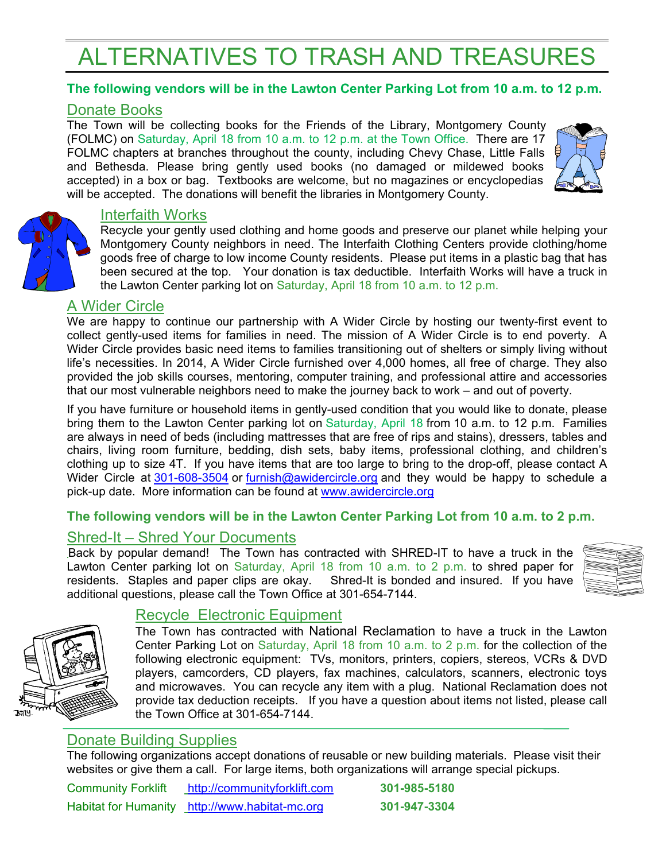# ALTERNATIVES TO TRASH AND TREASURES

## **The following vendors will be in the Lawton Center Parking Lot from 10 a.m. to 12 p.m.**

## Donate Books

The Town will be collecting books for the Friends of the Library, Montgomery County (FOLMC) on Saturday, April 18 from 10 a.m. to 12 p.m. at the Town Office. There are 17 FOLMC chapters at branches throughout the county, including Chevy Chase, Little Falls and Bethesda. Please bring gently used books (no damaged or mildewed books accepted) in a box or bag. Textbooks are welcome, but no magazines or encyclopedias will be accepted. The donations will benefit the libraries in Montgomery County.



## Interfaith Works

Recycle your gently used clothing and home goods and preserve our planet while helping your Montgomery County neighbors in need. The Interfaith Clothing Centers provide clothing/home goods free of charge to low income County residents. Please put items in a plastic bag that has been secured at the top. Your donation is tax deductible. Interfaith Works will have a truck in the Lawton Center parking lot on Saturday, April 18 from 10 a.m. to 12 p.m.

## A Wider Circle

We are happy to continue our partnership with A Wider Circle by hosting our twenty-first event to collect gently-used items for families in need. The mission of A Wider Circle is to end poverty. A Wider Circle provides basic need items to families transitioning out of shelters or simply living without life's necessities. In 2014, A Wider Circle furnished over 4,000 homes, all free of charge. They also provided the job skills courses, mentoring, computer training, and professional attire and accessories that our most vulnerable neighbors need to make the journey back to work – and out of poverty.

If you have furniture or household items in gently-used condition that you would like to donate, please bring them to the Lawton Center parking lot on Saturday, April 18 from 10 a.m. to 12 p.m. Families are always in need of beds (including mattresses that are free of rips and stains), dressers, tables and chairs, living room furniture, bedding, dish sets, baby items, professional clothing, and children's clothing up to size 4T. If you have items that are too large to bring to the drop-off, please contact A Wider Circle at 301-608-3504 or furnish@awidercircle.org and they would be happy to schedule a pick-up date. More information can be found at www.awidercircle.org

## **The following vendors will be in the Lawton Center Parking Lot from 10 a.m. to 2 p.m.**

## Shred-It – Shred Your Documents

Back by popular demand! The Town has contracted with SHRED-IT to have a truck in the Lawton Center parking lot on Saturday, April 18 from 10 a.m. to 2 p.m. to shred paper for residents. Staples and paper clips are okay. Shred-It is bonded and insured. If you have additional questions, please call the Town Office at 301-654-7144.





## Recycle Electronic Equipment

The Town has contracted with National Reclamation to have a truck in the Lawton Center Parking Lot on Saturday, April 18 from 10 a.m. to 2 p.m. for the collection of the following electronic equipment: TVs, monitors, printers, copiers, stereos, VCRs & DVD players, camcorders, CD players, fax machines, calculators, scanners, electronic toys and microwaves. You can recycle any item with a plug. National Reclamation does not provide tax deduction receipts. If you have a question about items not listed, please call the Town Office at 301-654-7144.

## Donate Building Supplies

The following organizations accept donations of reusable or new building materials. Please visit their websites or give them a call. For large items, both organizations will arrange special pickups.

| <b>Community Forklift</b> | http://communityforklift.com                   | 301-985-5180 |
|---------------------------|------------------------------------------------|--------------|
|                           | Habitat for Humanity http://www.habitat-mc.org | 301-947-3304 |